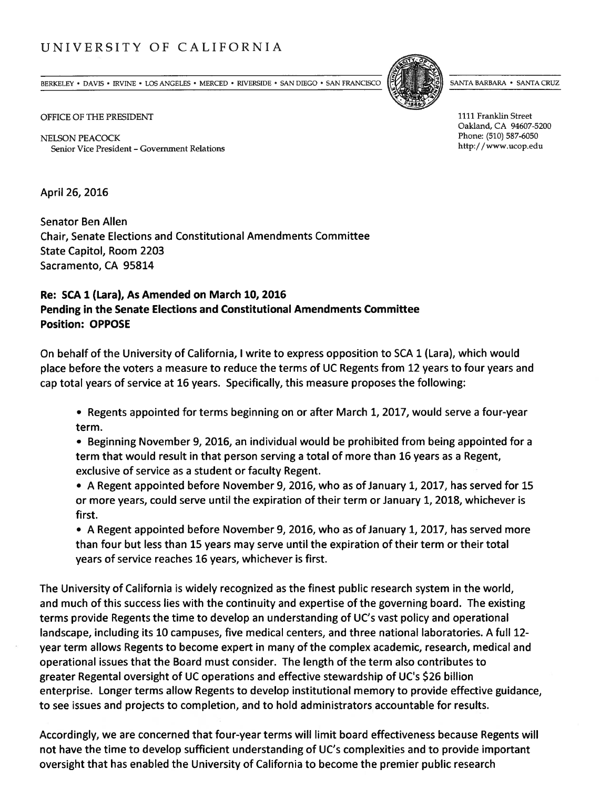## UNIVERSITY OF CALIFORNIA

BERKELEY • DAVIS • IRVINE • LOS ANGELES • MERCED • RIVERSIDE • SAN DIEGO • SAN FRANCISCO [FLY) [FLY] SANTA BARBARA • SANTA CRUZ

OFFICE OF THE PRESIDENT 1111 Franklin Street

NELSON PEACOCK Phone: (510) 587-6050 Senior Vice President – Government Relations http://www.ucop.edu

April 26, 2016

Senator Ben Allen Chair, Senate Elections and Constitutional Amendments Committee State Capitol, Room 2203 Sacramento, CA 95814

## Re: SCA 1 (Lara), As Amended on March 10, 2016 Pending in the Senate Elections and Constitutional Amendments Committee Position: OPPOSE

On behalf of the University of California, <sup>I</sup> write to express opposition to SCA 1 (Lara), which would place before the voters <sup>a</sup> measure to reduce the terms of UC Regents from 12 years to four years and cap total years of service at 16 years. Specifically, this measure proposes the following:

• Regents appointed for terms beginning on or after March 1, 2017, would serve <sup>a</sup> four-year term.

• Beginning November 9, 2016, an individual would be prohibited from being appointed for <sup>a</sup> term that would result in that person serving <sup>a</sup> total of more than 16 years as <sup>a</sup> Regent, exclusive of service as <sup>a</sup> student or faculty Regent.

• A Regent appointed before November 9, 2016, who as of January 1, 2017, has served for 15 or more years, could serve until the expiration of their term or January 1, 2018, whichever is first.

• A Regent appointed before November 9, 2016, who as of January 1, 2017, has served more than four but less than 15 years may serve until the expiration of their term or their total years of service reaches 16 years, whichever is first.

The University of California is widely recognized as the finest public research system in the world, and much of this success lies with the continuity and expertise of the governing board. The existing terms provide Regents the time to develop an understanding of UC's vast policy and operational landscape, including its 10 campuses, five medical centers, and three national laboratories. A full 12 year term allows Regents to become exper<sup>t</sup> in many of the complex academic, research, medical and operational issues that the Board must consider. The length of the term also contributes to greater Regental oversight of UC operations and effective stewardship of UC's \$26 billion enterprise. Longer terms allow Regents to develop institutional memory to provide effective guidance, to see issues and projects to completion, and to hold administrators accountable for results.

Accordingly, we are concerned that four-year terms will limit board effectiveness because Regents will not have the time to develop sufficient understanding of UC's complexities and to provide important oversight that has enabled the University of California to become the premier public research

Oakland, CA 94607-5200